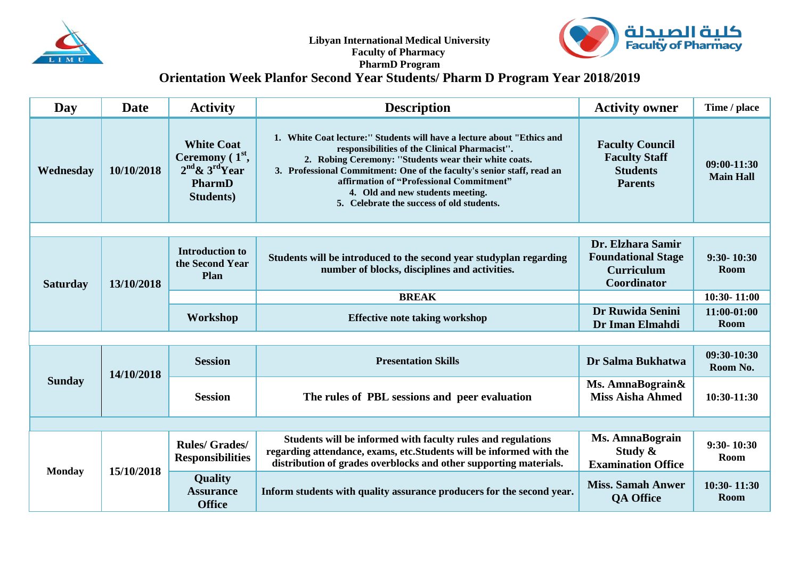

**Libyan International Medical University Faculty of Pharmacy** 



## **PharmD Program**

## **Orientation Week Planfor Second Year Students/ Pharm D Program Year 2018/2019**

| Day             | Date       | <b>Activity</b>                                                                                   | <b>Description</b>                                                                                                                                                                                                                                                                                                                                                                      | <b>Activity owner</b>                                                               | Time / place                    |  |
|-----------------|------------|---------------------------------------------------------------------------------------------------|-----------------------------------------------------------------------------------------------------------------------------------------------------------------------------------------------------------------------------------------------------------------------------------------------------------------------------------------------------------------------------------------|-------------------------------------------------------------------------------------|---------------------------------|--|
| Wednesday       | 10/10/2018 | <b>White Coat</b><br>Ceremony $(1st,$<br>$2nd$ & $3rd$ Year<br><b>PharmD</b><br><b>Students</b> ) | 1. White Coat lecture:" Students will have a lecture about "Ethics and<br>responsibilities of the Clinical Pharmacist".<br>2. Robing Ceremony: "Students wear their white coats.<br>3. Professional Commitment: One of the faculty's senior staff, read an<br>affirmation of "Professional Commitment"<br>4. Old and new students meeting.<br>5. Celebrate the success of old students. | <b>Faculty Council</b><br><b>Faculty Staff</b><br><b>Students</b><br><b>Parents</b> | 09:00-11:30<br><b>Main Hall</b> |  |
|                 |            |                                                                                                   |                                                                                                                                                                                                                                                                                                                                                                                         |                                                                                     |                                 |  |
| <b>Saturday</b> | 13/10/2018 | <b>Introduction to</b><br>the Second Year<br>Plan                                                 | Students will be introduced to the second year studyplan regarding<br>number of blocks, disciplines and activities.                                                                                                                                                                                                                                                                     | Dr. Elzhara Samir<br><b>Foundational Stage</b><br><b>Curriculum</b><br>Coordinator  | $9:30 - 10:30$<br>Room          |  |
|                 |            |                                                                                                   | <b>BREAK</b>                                                                                                                                                                                                                                                                                                                                                                            |                                                                                     | 10:30-11:00                     |  |
|                 |            | Workshop                                                                                          | <b>Effective note taking workshop</b>                                                                                                                                                                                                                                                                                                                                                   | Dr Ruwida Senini<br>Dr Iman Elmahdi                                                 | 11:00-01:00<br><b>Room</b>      |  |
|                 |            |                                                                                                   |                                                                                                                                                                                                                                                                                                                                                                                         |                                                                                     |                                 |  |
| <b>Sunday</b>   | 14/10/2018 | <b>Session</b>                                                                                    | <b>Presentation Skills</b>                                                                                                                                                                                                                                                                                                                                                              | Dr Salma Bukhatwa                                                                   | 09:30-10:30<br>Room No.         |  |
|                 |            | <b>Session</b>                                                                                    | The rules of PBL sessions and peer evaluation                                                                                                                                                                                                                                                                                                                                           | Ms. AmnaBograin&<br><b>Miss Aisha Ahmed</b>                                         | 10:30-11:30                     |  |
|                 |            |                                                                                                   |                                                                                                                                                                                                                                                                                                                                                                                         |                                                                                     |                                 |  |
| <b>Monday</b>   | 15/10/2018 | <b>Rules/Grades/</b><br><b>Responsibilities</b>                                                   | Students will be informed with faculty rules and regulations<br>regarding attendance, exams, etc. Students will be informed with the<br>distribution of grades overblocks and other supporting materials.                                                                                                                                                                               | <b>Ms. AmnaBograin</b><br>Study $\&$<br><b>Examination Office</b>                   | $9:30 - 10:30$<br>Room          |  |
|                 |            | Quality<br><b>Assurance</b><br><b>Office</b>                                                      | Inform students with quality assurance producers for the second year.                                                                                                                                                                                                                                                                                                                   | <b>Miss. Samah Anwer</b><br><b>QA Office</b>                                        | 10:30-11:30<br><b>Room</b>      |  |